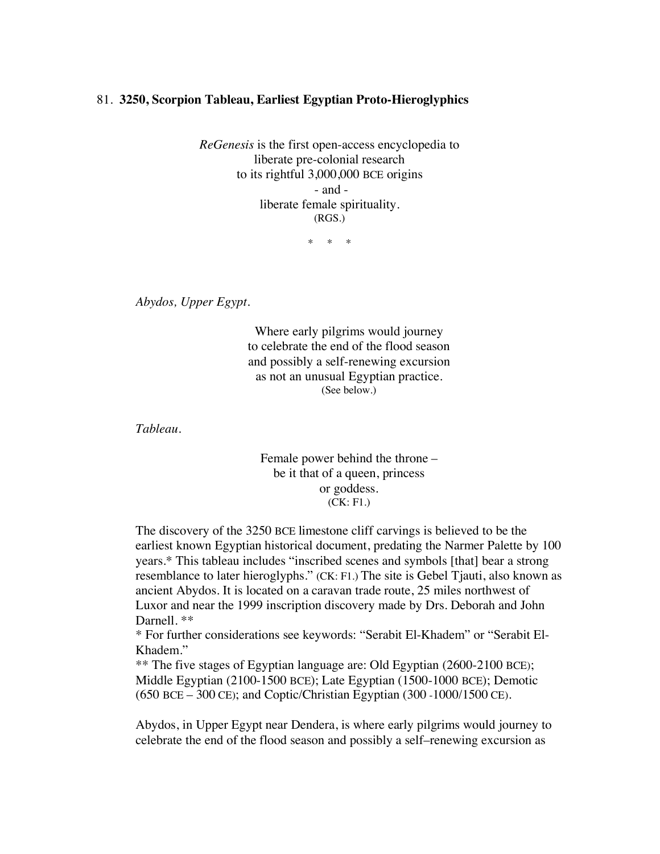## 81. **3250, Scorpion Tableau, Earliest Egyptian Proto-Hieroglyphics**

*ReGenesis* is the first open-access encyclopedia to liberate pre-colonial research to its rightful 3,000,000 BCE origins - and liberate female spirituality. (RGS.)

\* \* \*

*Abydos, Upper Egypt.* 

Where early pilgrims would journey to celebrate the end of the flood season and possibly a self-renewing excursion as not an unusual Egyptian practice. (See below.)

*Tableau.*

Female power behind the throne – be it that of a queen, princess or goddess. (CK: F1.)

The discovery of the 3250 BCE limestone cliff carvings is believed to be the earliest known Egyptian historical document, predating the Narmer Palette by 100 years.\* This tableau includes "inscribed scenes and symbols [that] bear a strong resemblance to later hieroglyphs." (CK: F1.) The site is Gebel Tjauti, also known as ancient Abydos. It is located on a caravan trade route, 25 miles northwest of Luxor and near the 1999 inscription discovery made by Drs. Deborah and John Darnell. \*\*

\* For further considerations see keywords: "Serabit El-Khadem" or "Serabit El-Khadem."

\*\* The five stages of Egyptian language are: Old Egyptian (2600-2100 BCE); Middle Egyptian (2100-1500 BCE); Late Egyptian (1500-1000 BCE); Demotic (650 BCE – 300 CE); and Coptic/Christian Egyptian (300 -1000/1500 CE).

Abydos, in Upper Egypt near Dendera, is where early pilgrims would journey to celebrate the end of the flood season and possibly a self–renewing excursion as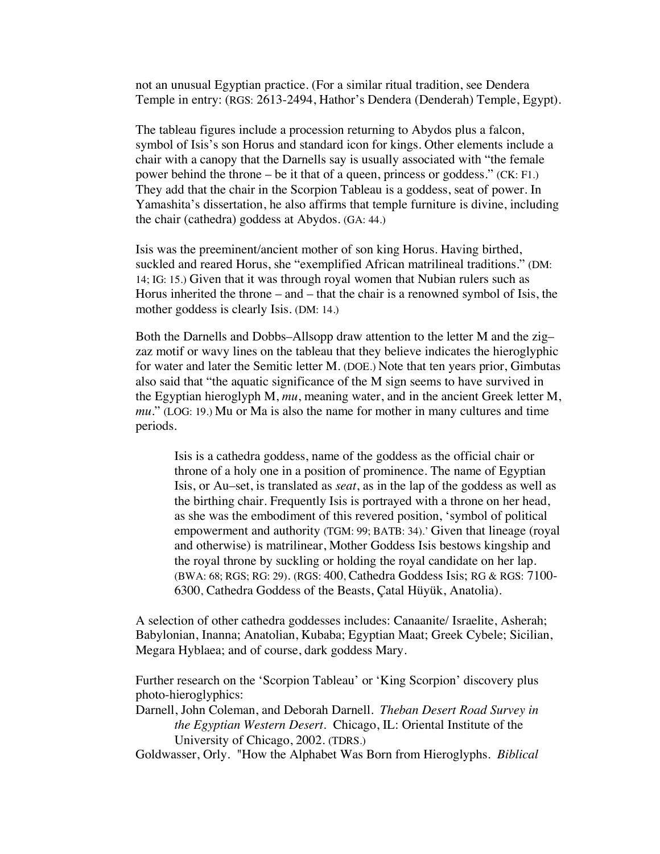not an unusual Egyptian practice. (For a similar ritual tradition, see Dendera Temple in entry: (RGS: 2613-2494, Hathor's Dendera (Denderah) Temple, Egypt).

The tableau figures include a procession returning to Abydos plus a falcon, symbol of Isis's son Horus and standard icon for kings. Other elements include a chair with a canopy that the Darnells say is usually associated with "the female power behind the throne – be it that of a queen, princess or goddess." (CK: F1.) They add that the chair in the Scorpion Tableau is a goddess, seat of power. In Yamashita's dissertation, he also affirms that temple furniture is divine, including the chair (cathedra) goddess at Abydos. (GA: 44.)

Isis was the preeminent/ancient mother of son king Horus. Having birthed, suckled and reared Horus, she "exemplified African matrilineal traditions." (DM: 14; IG: 15.) Given that it was through royal women that Nubian rulers such as Horus inherited the throne – and – that the chair is a renowned symbol of Isis, the mother goddess is clearly Isis. (DM: 14.)

Both the Darnells and Dobbs–Allsopp draw attention to the letter M and the zig– zaz motif or wavy lines on the tableau that they believe indicates the hieroglyphic for water and later the Semitic letter M. (DOE.) Note that ten years prior, Gimbutas also said that "the aquatic significance of the M sign seems to have survived in the Egyptian hieroglyph M, *mu*, meaning water, and in the ancient Greek letter M, *mu*." (LOG: 19.) Mu or Ma is also the name for mother in many cultures and time periods.

Isis is a cathedra goddess, name of the goddess as the official chair or throne of a holy one in a position of prominence. The name of Egyptian Isis, or Au–set, is translated as *seat*, as in the lap of the goddess as well as the birthing chair. Frequently Isis is portrayed with a throne on her head, as she was the embodiment of this revered position, 'symbol of political empowerment and authority (TGM: 99; BATB: 34).' Given that lineage (royal and otherwise) is matrilinear, Mother Goddess Isis bestows kingship and the royal throne by suckling or holding the royal candidate on her lap. (BWA: 68; RGS; RG: 29). (RGS: 400, Cathedra Goddess Isis; RG & RGS: 7100- 6300, Cathedra Goddess of the Beasts, Çatal Hüyük, Anatolia).

A selection of other cathedra goddesses includes: Canaanite/ Israelite, Asherah; Babylonian, Inanna; Anatolian, Kubaba; Egyptian Maat; Greek Cybele; Sicilian, Megara Hyblaea; and of course, dark goddess Mary.

Further research on the 'Scorpion Tableau' or 'King Scorpion' discovery plus photo-hieroglyphics:

Darnell, John Coleman, and Deborah Darnell. *Theban Desert Road Survey in the Egyptian Western Desert.* Chicago, IL: Oriental Institute of the University of Chicago, 2002. (TDRS.)

Goldwasser, Orly. "How the Alphabet Was Born from Hieroglyphs. *Biblical*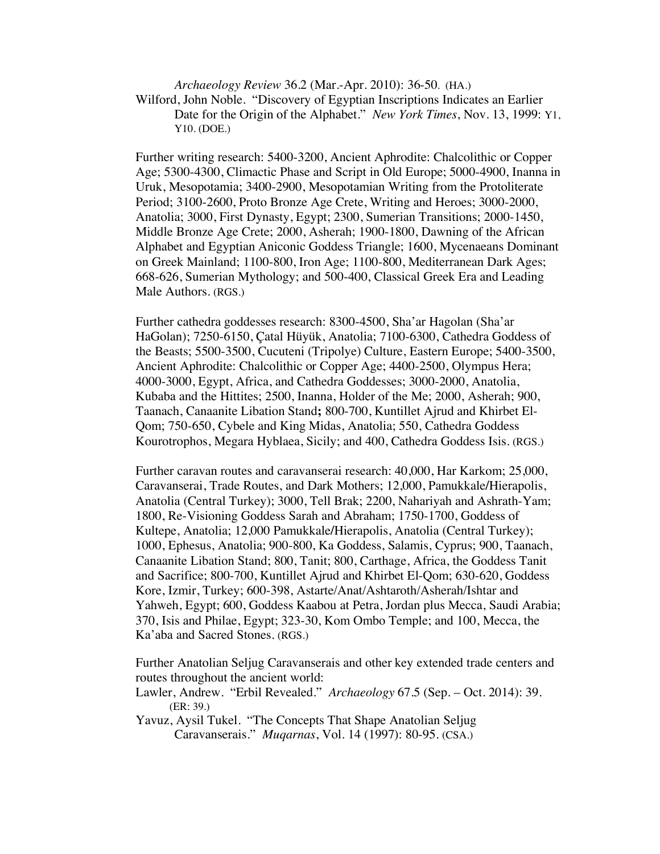*Archaeology Review* 36.2 (Mar.-Apr. 2010): 36-50. (HA.) Wilford, John Noble. "Discovery of Egyptian Inscriptions Indicates an Earlier Date for the Origin of the Alphabet." *New York Times*, Nov. 13, 1999: Y1, Y10. (DOE.)

Further writing research: 5400-3200, Ancient Aphrodite: Chalcolithic or Copper Age; 5300-4300, Climactic Phase and Script in Old Europe; 5000-4900, Inanna in Uruk, Mesopotamia; 3400-2900, Mesopotamian Writing from the Protoliterate Period; 3100-2600, Proto Bronze Age Crete, Writing and Heroes; 3000-2000, Anatolia; 3000, First Dynasty, Egypt; 2300, Sumerian Transitions; 2000-1450, Middle Bronze Age Crete; 2000, Asherah; 1900-1800, Dawning of the African Alphabet and Egyptian Aniconic Goddess Triangle; 1600, Mycenaeans Dominant on Greek Mainland; 1100-800, Iron Age; 1100-800, Mediterranean Dark Ages; 668-626, Sumerian Mythology; and 500-400, Classical Greek Era and Leading Male Authors. (RGS.)

Further cathedra goddesses research: 8300-4500, Sha'ar Hagolan (Sha'ar HaGolan); 7250-6150, Çatal Hüyük, Anatolia; 7100-6300, Cathedra Goddess of the Beasts; 5500-3500, Cucuteni (Tripolye) Culture, Eastern Europe; 5400-3500, Ancient Aphrodite: Chalcolithic or Copper Age; 4400-2500, Olympus Hera; 4000-3000, Egypt, Africa, and Cathedra Goddesses; 3000-2000, Anatolia, Kubaba and the Hittites; 2500, Inanna, Holder of the Me; 2000, Asherah; 900, Taanach, Canaanite Libation Stand**;** 800-700, Kuntillet Ajrud and Khirbet El-Qom; 750-650, Cybele and King Midas, Anatolia; 550, Cathedra Goddess Kourotrophos, Megara Hyblaea, Sicily; and 400, Cathedra Goddess Isis. (RGS.)

Further caravan routes and caravanserai research: 40,000, Har Karkom; 25,000, Caravanserai, Trade Routes, and Dark Mothers; 12,000, Pamukkale*/*Hierapolis, Anatolia (Central Turkey); 3000, Tell Brak; 2200, Nahariyah and Ashrath-Yam; 1800, Re-Visioning Goddess Sarah and Abraham; 1750-1700, Goddess of Kultepe, Anatolia; 12,000 Pamukkale*/*Hierapolis, Anatolia (Central Turkey); 1000, Ephesus, Anatolia; 900-800, Ka Goddess, Salamis, Cyprus; 900, Taanach, Canaanite Libation Stand; 800, Tanit; 800, Carthage, Africa, the Goddess Tanit and Sacrifice; 800-700, Kuntillet Ajrud and Khirbet El-Qom; 630-620, Goddess Kore, Izmir, Turkey; 600-398, Astarte/Anat/Ashtaroth/Asherah/Ishtar and Yahweh, Egypt; 600, Goddess Kaabou at Petra, Jordan plus Mecca, Saudi Arabia; 370, Isis and Philae, Egypt; 323-30, Kom Ombo Temple; and 100, Mecca, the Ka'aba and Sacred Stones. (RGS.)

Further Anatolian Seljug Caravanserais and other key extended trade centers and routes throughout the ancient world:

Lawler, Andrew. "Erbil Revealed." *Archaeology* 67.5 (Sep. – Oct. 2014): 39. (ER: 39.)

Yavuz, Aysil Tukel. "The Concepts That Shape Anatolian Seljug Caravanserais." *Muqarnas*, Vol. 14 (1997): 80-95. (CSA.)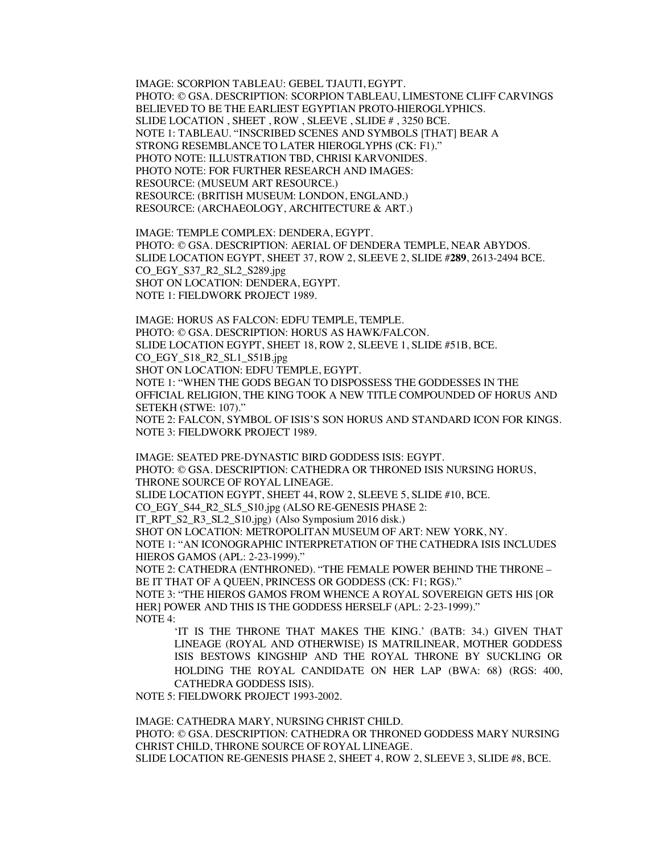IMAGE: SCORPION TABLEAU: GEBEL TJAUTI, EGYPT. PHOTO: © GSA. DESCRIPTION: SCORPION TABLEAU, LIMESTONE CLIFF CARVINGS BELIEVED TO BE THE EARLIEST EGYPTIAN PROTO-HIEROGLYPHICS. SLIDE LOCATION , SHEET , ROW , SLEEVE , SLIDE # , 3250 BCE. NOTE 1: TABLEAU. "INSCRIBED SCENES AND SYMBOLS [THAT] BEAR A STRONG RESEMBLANCE TO LATER HIEROGLYPHS (CK: F1)." PHOTO NOTE: ILLUSTRATION TBD, CHRISI KARVONIDES. PHOTO NOTE: FOR FURTHER RESEARCH AND IMAGES: RESOURCE: (MUSEUM ART RESOURCE.) RESOURCE: (BRITISH MUSEUM: LONDON, ENGLAND.) RESOURCE: (ARCHAEOLOGY, ARCHITECTURE & ART.)

IMAGE: TEMPLE COMPLEX: DENDERA, EGYPT. PHOTO: © GSA. DESCRIPTION: AERIAL OF DENDERA TEMPLE, NEAR ABYDOS. SLIDE LOCATION EGYPT, SHEET 37, ROW 2, SLEEVE 2, SLIDE #**289**, 2613-2494 BCE. CO\_EGY\_S37\_R2\_SL2\_S289.jpg SHOT ON LOCATION: DENDERA, EGYPT. NOTE 1: FIELDWORK PROJECT 1989.

IMAGE: HORUS AS FALCON: EDFU TEMPLE, TEMPLE. PHOTO: © GSA. DESCRIPTION: HORUS AS HAWK/FALCON. SLIDE LOCATION EGYPT, SHEET 18, ROW 2, SLEEVE 1, SLIDE #51B, BCE. CO\_EGY\_S18\_R2\_SL1\_S51B.jpg SHOT ON LOCATION: EDFU TEMPLE, EGYPT. NOTE 1: "WHEN THE GODS BEGAN TO DISPOSSESS THE GODDESSES IN THE OFFICIAL RELIGION, THE KING TOOK A NEW TITLE COMPOUNDED OF HORUS AND SETEKH **(**STWE: 107)." NOTE 2: FALCON, SYMBOL OF ISIS'S SON HORUS AND STANDARD ICON FOR KINGS. NOTE 3: FIELDWORK PROJECT 1989.

IMAGE: SEATED PRE-DYNASTIC BIRD GODDESS ISIS: EGYPT. PHOTO: © GSA. DESCRIPTION: CATHEDRA OR THRONED ISIS NURSING HORUS, THRONE SOURCE OF ROYAL LINEAGE. SLIDE LOCATION EGYPT, SHEET 44, ROW 2, SLEEVE 5, SLIDE #10, BCE. CO\_EGY\_S44\_R2\_SL5\_S10.jpg (ALSO RE-GENESIS PHASE 2: IT\_RPT\_S2\_R3\_SL2\_S10.jpg) (Also Symposium 2016 disk.) SHOT ON LOCATION: METROPOLITAN MUSEUM OF ART: NEW YORK, NY. NOTE 1: "AN ICONOGRAPHIC INTERPRETATION OF THE CATHEDRA ISIS INCLUDES HIEROS GAMOS (APL: 2-23-1999)."

NOTE 2: CATHEDRA (ENTHRONED). "THE FEMALE POWER BEHIND THE THRONE – BE IT THAT OF A QUEEN, PRINCESS OR GODDESS (CK: F1; RGS)." NOTE 3: "THE HIEROS GAMOS FROM WHENCE A ROYAL SOVEREIGN GETS HIS IOR HER] POWER AND THIS IS THE GODDESS HERSELF (APL: 2-23-1999)."

NOTE 4:

'IT IS THE THRONE THAT MAKES THE KING.' (BATB: 34.) GIVEN THAT LINEAGE (ROYAL AND OTHERWISE) IS MATRILINEAR, MOTHER GODDESS ISIS BESTOWS KINGSHIP AND THE ROYAL THRONE BY SUCKLING OR HOLDING THE ROYAL CANDIDATE ON HER LAP (BWA: 68) (RGS: 400, CATHEDRA GODDESS ISIS).

NOTE 5: FIELDWORK PROJECT 1993-2002.

IMAGE: CATHEDRA MARY, NURSING CHRIST CHILD. PHOTO: © GSA. DESCRIPTION: CATHEDRA OR THRONED GODDESS MARY NURSING CHRIST CHILD, THRONE SOURCE OF ROYAL LINEAGE. SLIDE LOCATION RE-GENESIS PHASE 2, SHEET 4, ROW 2, SLEEVE 3, SLIDE #8, BCE.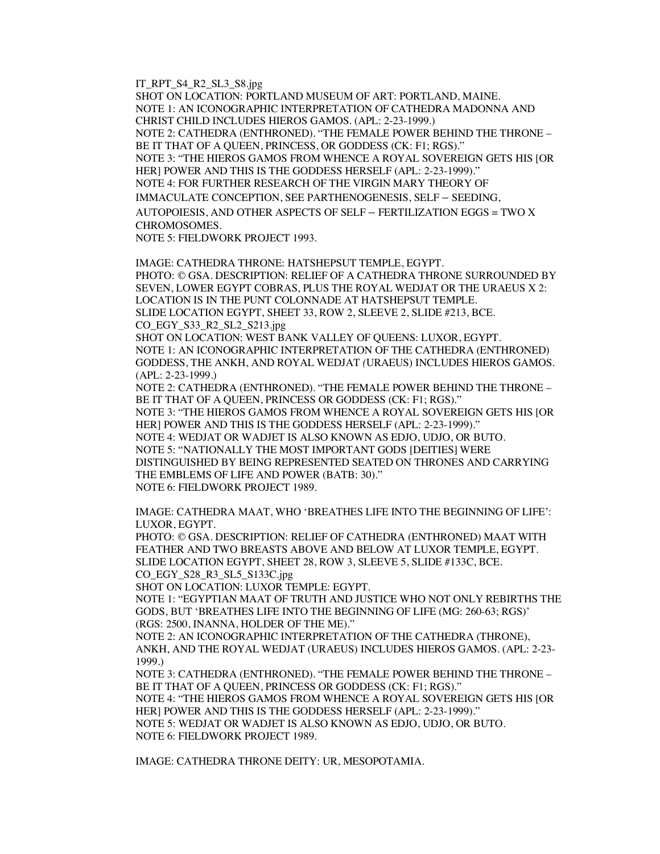IT\_RPT\_S4\_R2\_SL3\_S8.jpg

SHOT ON LOCATION: PORTLAND MUSEUM OF ART: PORTLAND, MAINE. NOTE 1: AN ICONOGRAPHIC INTERPRETATION OF CATHEDRA MADONNA AND CHRIST CHILD INCLUDES HIEROS GAMOS. (APL: 2-23-1999.) NOTE 2: CATHEDRA (ENTHRONED). "THE FEMALE POWER BEHIND THE THRONE – BE IT THAT OF A QUEEN, PRINCESS, OR GODDESS (CK: F1; RGS)." NOTE 3: "THE HIEROS GAMOS FROM WHENCE A ROYAL SOVEREIGN GETS HIS [OR HER] POWER AND THIS IS THE GODDESS HERSELF (APL: 2-23-1999)." NOTE 4: FOR FURTHER RESEARCH OF THE VIRGIN MARY THEORY OF IMMACULATE CONCEPTION, SEE PARTHENOGENESIS, SELF – SEEDING, AUTOPOIESIS, AND OTHER ASPECTS OF SELF – FERTILIZATION EGGS = TWO X CHROMOSOMES.

NOTE 5: FIELDWORK PROJECT 1993.

IMAGE: CATHEDRA THRONE: HATSHEPSUT TEMPLE, EGYPT. PHOTO: © GSA. DESCRIPTION: RELIEF OF A CATHEDRA THRONE SURROUNDED BY SEVEN, LOWER EGYPT COBRAS, PLUS THE ROYAL WEDJAT OR THE URAEUS X 2: LOCATION IS IN THE PUNT COLONNADE AT HATSHEPSUT TEMPLE. SLIDE LOCATION EGYPT, SHEET 33, ROW 2, SLEEVE 2, SLIDE #213, BCE. CO\_EGY\_S33\_R2\_SL2\_S213.jpg

SHOT ON LOCATION: WEST BANK VALLEY OF QUEENS: LUXOR, EGYPT. NOTE 1: AN ICONOGRAPHIC INTERPRETATION OF THE CATHEDRA (ENTHRONED) GODDESS, THE ANKH, AND ROYAL WEDJAT *(*URAEUS) INCLUDES HIEROS GAMOS. (APL: 2-23-1999.)

NOTE 2: CATHEDRA (ENTHRONED). "THE FEMALE POWER BEHIND THE THRONE – BE IT THAT OF A QUEEN, PRINCESS OR GODDESS (CK: F1; RGS)." NOTE 3: "THE HIEROS GAMOS FROM WHENCE A ROYAL SOVEREIGN GETS HIS [OR HER] POWER AND THIS IS THE GODDESS HERSELF (APL: 2-23-1999)." NOTE 4: WEDJAT OR WADJET IS ALSO KNOWN AS EDJO, UDJO, OR BUTO. NOTE 5: "NATIONALLY THE MOST IMPORTANT GODS [DEITIES] WERE DISTINGUISHED BY BEING REPRESENTED SEATED ON THRONES AND CARRYING THE EMBLEMS OF LIFE AND POWER (BATB: 30)." NOTE 6: FIELDWORK PROJECT 1989.

IMAGE: CATHEDRA MAAT, WHO 'BREATHES LIFE INTO THE BEGINNING OF LIFE': LUXOR, EGYPT.

PHOTO: © GSA. DESCRIPTION: RELIEF OF CATHEDRA (ENTHRONED) MAAT WITH FEATHER AND TWO BREASTS ABOVE AND BELOW AT LUXOR TEMPLE, EGYPT. SLIDE LOCATION EGYPT, SHEET 28, ROW 3, SLEEVE 5, SLIDE #133C, BCE. CO\_EGY\_S28\_R3\_SL5\_S133C.jpg

SHOT ON LOCATION: LUXOR TEMPLE: EGYPT. NOTE 1: "EGYPTIAN MAAT OF TRUTH AND JUSTICE WHO NOT ONLY REBIRTHS THE GODS, BUT 'BREATHES LIFE INTO THE BEGINNING OF LIFE (MG: 260-63; RGS)' (RGS: 2500, INANNA, HOLDER OF THE ME)."

NOTE 2: AN ICONOGRAPHIC INTERPRETATION OF THE CATHEDRA (THRONE), ANKH, AND THE ROYAL WEDJAT (URAEUS) INCLUDES HIEROS GAMOS. (APL: 2-23- 1999.)

NOTE 3: CATHEDRA (ENTHRONED). "THE FEMALE POWER BEHIND THE THRONE – BE IT THAT OF A QUEEN, PRINCESS OR GODDESS (CK: F1; RGS)."

NOTE 4: "THE HIEROS GAMOS FROM WHENCE A ROYAL SOVEREIGN GETS HIS [OR HER] POWER AND THIS IS THE GODDESS HERSELF (APL: 2-23-1999)." NOTE 5: WEDJAT OR WADJET IS ALSO KNOWN AS EDJO, UDJO, OR BUTO. NOTE 6: FIELDWORK PROJECT 1989.

IMAGE: CATHEDRA THRONE DEITY: UR, MESOPOTAMIA.